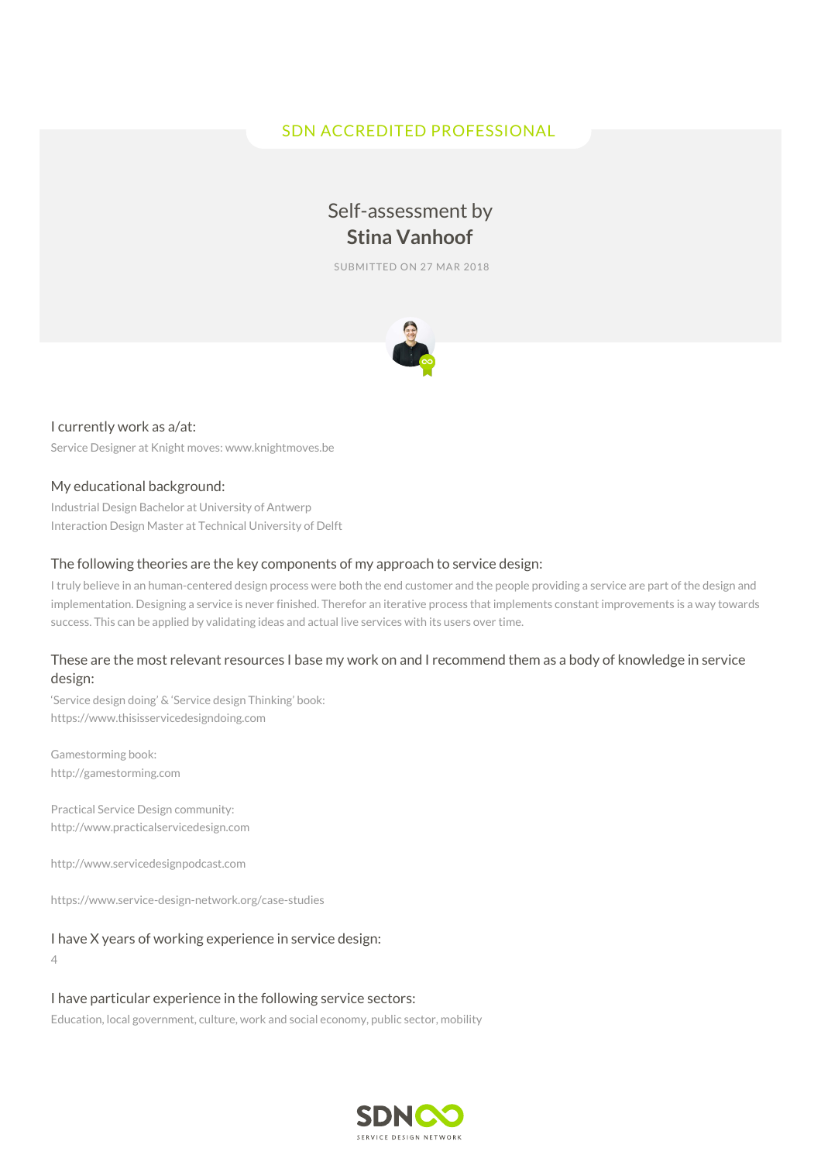# SDN ACCREDITED PROFESSIONAL

# Self-assessment by **Stina Vanhoof**

SUBMITTED ON 27 MAR 2018



#### I currently work as a/at:

Service Designer at Knight moves: www.knightmoves.be

#### My educational background:

Industrial Design Bachelor at University of Antwerp Interaction Design Master at Technical University of Delft

#### The following theories are the key components of my approach to service design:

I truly believe in an human-centered design process were both the end customer and the people providing a service are part of the design and implementation. Designing a service is never finished. Therefor an iterative process that implements constant improvements is a way towards success. This can be applied by validating ideas and actual live services with its users over time.

#### These are the most relevant resources I base my work on and I recommend them as a body of knowledge in service design:

'Service design doing' & 'Service design Thinking' book: https://www.thisisservicedesigndoing.com

Gamestorming book: http://gamestorming.com

Practical Service Design community: http://www.practicalservicedesign.com

http://www.servicedesignpodcast.com

https://www.service-design-network.org/case-studies

#### I have X years of working experience in service design:

4

I have particular experience in the following service sectors:

Education, local government, culture, work and social economy, public sector, mobility

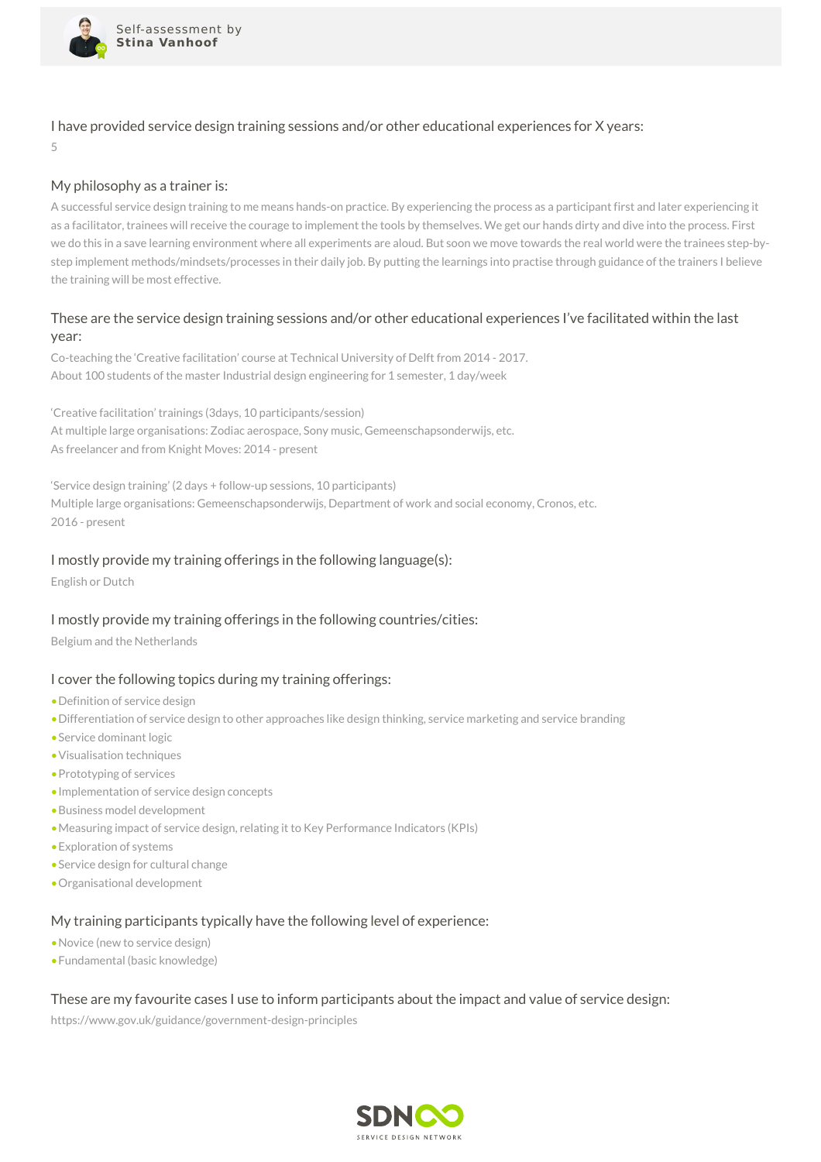

I have provided service design training sessions and/or other educational experiences for X years:

5

## My philosophy as a trainer is:

A successful service design training to me means hands-on practice. By experiencing the process as a participant first and later experiencing it as a facilitator, trainees will receive the courage to implement the tools by themselves. We get our hands dirty and dive into the process. First we do this in a save learning environment where all experiments are aloud. But soon we move towards the real world were the trainees step-bystep implement methods/mindsets/processes in their daily job. By putting the learnings into practise through guidance of the trainers I believe the training will be most effective.

# These are the service design training sessions and/or other educational experiences I've facilitated within the last year:

Co-teaching the 'Creative facilitation' course at Technical University of Delft from 2014 - 2017. About 100 students of the master Industrial design engineering for 1 semester, 1 day/week

'Creative facilitation' trainings (3days, 10 participants/session) At multiple large organisations: Zodiac aerospace, Sony music, Gemeenschapsonderwijs, etc. As freelancer and from Knight Moves: 2014 - present

'Service design training' (2 days + follow-up sessions, 10 participants) Multiple large organisations: Gemeenschapsonderwijs, Department of work and social economy, Cronos, etc. 2016 - present

## I mostly provide my training offerings in the following language(s):

English or Dutch

# I mostly provide my training offerings in the following countries/cities:

Belgium and the Netherlands

### I cover the following topics during my training offerings:

- •Definition of service design
- •Differentiation of service design to other approaches like design thinking, service marketing and service branding
- •Service dominant logic
- •Visualisation techniques
- •Prototyping of services
- •Implementation of service design concepts
- •Business model development
- •Measuring impact of service design, relating it to Key Performance Indicators (KPIs)
- •Exploration of systems
- •Service design for cultural change
- •Organisational development

### My training participants typically have the following level of experience:

- •Novice (new to service design)
- •Fundamental (basic knowledge)

### These are my favourite cases I use to inform participants about the impact and value of service design:

https://www.gov.uk/guidance/government-design-principles

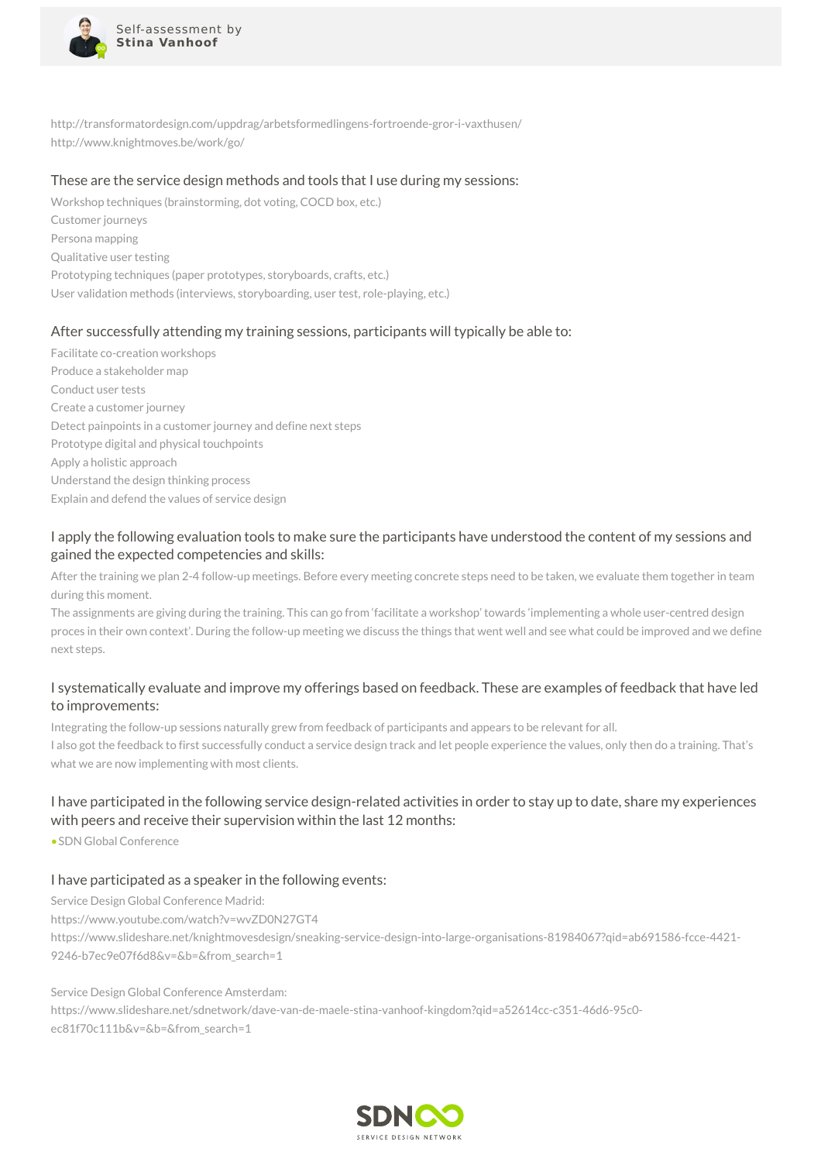

http://transformatordesign.com/uppdrag/arbetsformedlingens-fortroende-gror-i-vaxthusen/ http://www.knightmoves.be/work/go/

#### These are the service design methods and tools that I use during my sessions:

Workshop techniques (brainstorming, dot voting, COCD box, etc.) Customer journeys Persona mapping Qualitative user testing Prototyping techniques (paper prototypes, storyboards, crafts, etc.) User validation methods (interviews, storyboarding, user test, role-playing, etc.)

### After successfully attending my training sessions, participants will typically be able to:

Facilitate co-creation workshops Produce a stakeholder map Conduct user tests Create a customer journey Detect painpoints in a customer journey and define next steps Prototype digital and physical touchpoints Apply a holistic approach Understand the design thinking process Explain and defend the values of service design

## I apply the following evaluation tools to make sure the participants have understood the content of my sessions and gained the expected competencies and skills:

After the training we plan 2-4 follow-up meetings. Before every meeting concrete steps need to be taken, we evaluate them together in team during this moment.

The assignments are giving during the training. This can go from 'facilitate a workshop' towards 'implementing a whole user-centred design proces in their own context'. During the follow-up meeting we discuss the things that went well and see what could be improved and we define next steps.

## I systematically evaluate and improve my offerings based on feedback. These are examples of feedback that have led to improvements:

Integrating the follow-up sessions naturally grew from feedback of participants and appears to be relevant for all. I also got the feedback to first successfully conduct a service design track and let people experience the values, only then do a training. That's what we are now implementing with most clients.

# I have participated in the following service design-related activities in order to stay up to date, share my experiences with peers and receive their supervision within the last 12 months:

•SDN Global Conference

### I have participated as a speaker in the following events:

Service Design Global Conference Madrid:

https://www.youtube.com/watch?v=wvZD0N27GT4

https://www.slideshare.net/knightmovesdesign/sneaking-service-design-into-large-organisations-81984067?qid=ab691586-fcce-4421- 9246-b7ec9e07f6d8&v=&b=&from\_search=1

#### Service Design Global Conference Amsterdam:

https://www.slideshare.net/sdnetwork/dave-van-de-maele-stina-vanhoof-kingdom?qid=a52614cc-c351-46d6-95c0 ec81f70c111b&v=&b=&from\_search=1